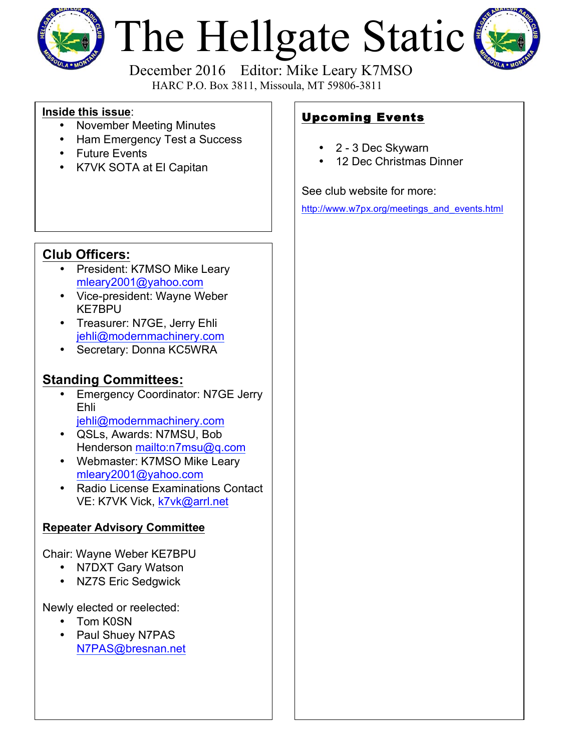

# The Hellgate Static



 December 2016 Editor: Mike Leary K7MSO HARC P.O. Box 3811, Missoula, MT 59806-3811

#### **Inside this issue**:

- November Meeting Minutes
- Ham Emergency Test a Success
- Future Events
- K7VK SOTA at El Capitan

## Upcoming Events

- 2 3 Dec Skywarn
- 12 Dec Christmas Dinner

See club website for more:

http://www.w7px.org/meetings\_and\_events.html

#### **Club Officers:**

- President: K7MSO Mike Leary mleary2001@yahoo.com
- Vice-president: Wayne Weber KE7BPU
- Treasurer: N7GE, Jerry Ehli jehli@modernmachinery.com
- Secretary: Donna KC5WRA

#### **Standing Committees:**

- **Emergency Coordinator: N7GE Jerry** Ehli jehli@modernmachinery.com
- QSLs, Awards: N7MSU, Bob Henderson mailto:n7msu@q.com
- Webmaster: K7MSO Mike Leary mleary2001@yahoo.com
- Radio License Examinations Contact VE: K7VK Vick, k7vk@arrl.net

#### **Repeater Advisory Committee**

Chair: Wayne Weber KE7BPU

- N7DXT Gary Watson
- NZ7S Eric Sedgwick

Newly elected or reelected:

- Tom K0SN
- Paul Shuey N7PAS N7PAS@bresnan.net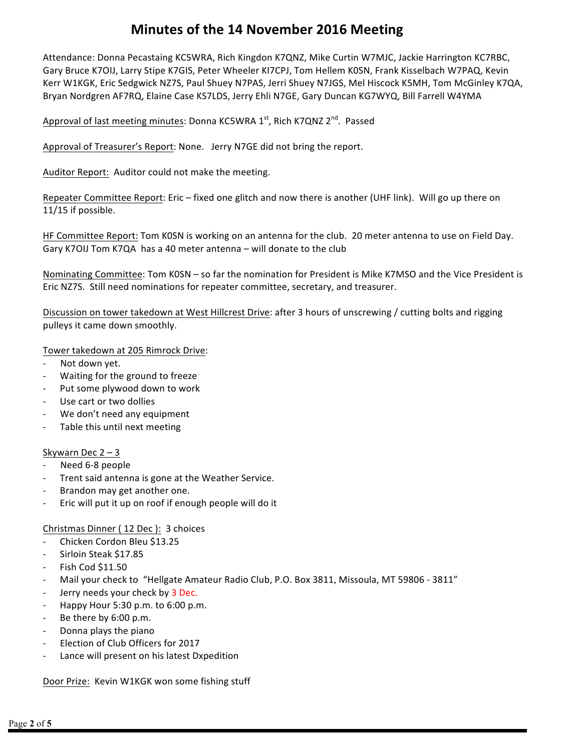#### **Minutes of the 14 November 2016 Meeting**

Attendance: Donna Pecastaing KC5WRA, Rich Kingdon K7QNZ, Mike Curtin W7MJC, Jackie Harrington KC7RBC, Gary Bruce K7OIJ, Larry Stipe K7GIS, Peter Wheeler KI7CPJ, Tom Hellem K0SN, Frank Kisselbach W7PAQ, Kevin Kerr W1KGK, Eric Sedgwick NZ7S, Paul Shuey N7PAS, Jerri Shuey N7JGS, Mel Hiscock K5MH, Tom McGinley K7QA, Bryan Nordgren AF7RQ, Elaine Case KS7LDS, Jerry Ehli N7GE, Gary Duncan KG7WYQ, Bill Farrell W4YMA

Approval of last meeting minutes: Donna KC5WRA 1st, Rich K7QNZ 2<sup>nd</sup>. Passed

Approval of Treasurer's Report: None. Jerry N7GE did not bring the report.

Auditor Report: Auditor could not make the meeting.

Repeater Committee Report: Eric – fixed one glitch and now there is another (UHF link). Will go up there on 11/15 if possible.

HF Committee Report: Tom KOSN is working on an antenna for the club. 20 meter antenna to use on Field Day. Gary K7OIJ Tom K7QA has a 40 meter antenna – will donate to the club

Nominating Committee: Tom K0SN – so far the nomination for President is Mike K7MSO and the Vice President is Eric NZ7S. Still need nominations for repeater committee, secretary, and treasurer.

Discussion on tower takedown at West Hillcrest Drive: after 3 hours of unscrewing / cutting bolts and rigging pulleys it came down smoothly.

Tower takedown at 205 Rimrock Drive:

- Not down yet.
- Waiting for the ground to freeze
- Put some plywood down to work
- Use cart or two dollies
- We don't need any equipment
- Table this until next meeting

#### Skywarn Dec  $2 - 3$

- Need 6-8 people
- Trent said antenna is gone at the Weather Service.
- Brandon may get another one.
- Eric will put it up on roof if enough people will do it

Christmas Dinner (12 Dec ): 3 choices

- Chicken Cordon Bleu \$13.25
- Sirloin Steak \$17.85
- $-$  Fish Cod \$11.50
- Mail your check to "Hellgate Amateur Radio Club, P.O. Box 3811, Missoula, MT 59806 3811"
- Jerry needs your check by 3 Dec.
- Happy Hour  $5:30$  p.m. to  $6:00$  p.m.
- Be there by  $6:00$  p.m.
- Donna plays the piano
- Election of Club Officers for 2017
- Lance will present on his latest Dxpedition

Door Prize: Kevin W1KGK won some fishing stuff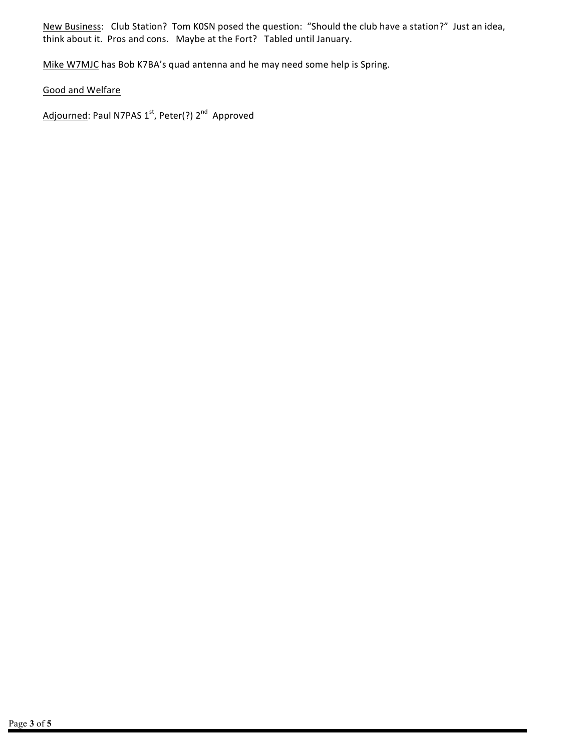New Business: Club Station? Tom KOSN posed the question: "Should the club have a station?" Just an idea, think about it. Pros and cons. Maybe at the Fort? Tabled until January.

Mike W7MJC has Bob K7BA's quad antenna and he may need some help is Spring.

Good and Welfare

Adjourned: Paul N7PAS 1st, Peter(?) 2<sup>nd</sup> Approved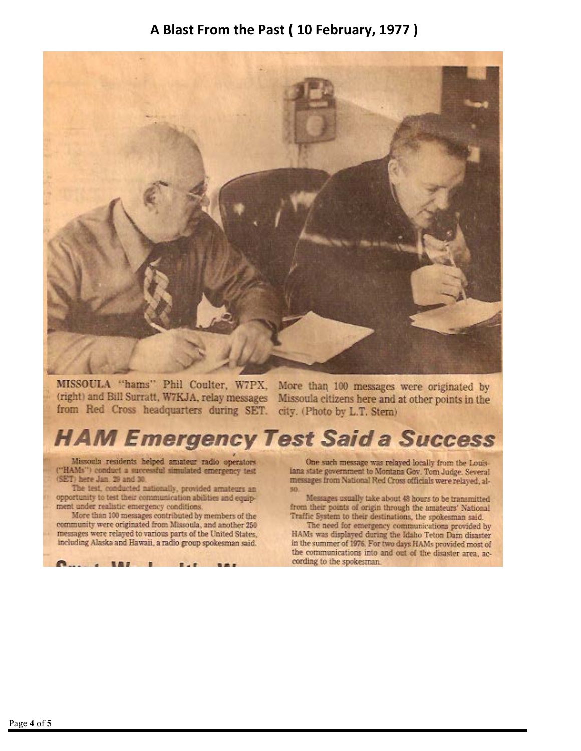#### A Blast From the Past (10 February, 1977)



MISSOULA "hams" Phil Coulter, W7PX, More than 100 messages were originated by from Red Cross headquarters during SET. city. (Photo by L.T. Stem)

(right) and Bill Surratt, W7KJA, relay messages Missoula citizens here and at other points in the

# **HAM Emergency Test Said a Success**

Missoula residents helped amateur radio operators ("HAMs") conduct a successful simulated emergency test (SET) here Jan. 29 and 30.

The test, conducted nationally, provided amateurs an opportunity to test their communication abilities and equipment under realistic emergency conditions.

More than 100 messages contributed by members of the community were originated from Missoula, and another 250 messages were relayed to various parts of the United States, including Alaska and Hawaii, a radio group spokesman said.

One such message was relayed locally from the Louisiana state government to Montana Gov. Tom Judge. Several messages from National Red Cross officials were relayed, al-30

Messages usually take about 48 hours to be transmitted from their points of origin through the amateurs' National Traffic System to their destinations, the spokesman said.

The need for emergency communications provided by HAMs was displayed during the Idaho Teton Dam disaster in the summer of 1976. For two days HAMs provided most of the communications into and out of the disaster area, according to the spokesman.